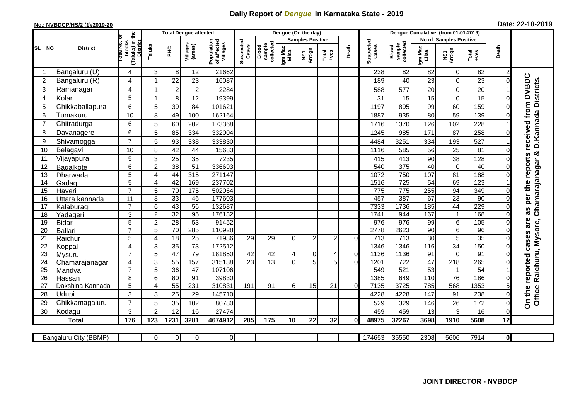## **Daily Report of** *Dengue* **in Karnataka State - 2019**

## **No.: NVBDCP/HS/2 (1)/2019-20 Date: 22-10-2019**

|                |                       |                                                   |                |                 | <b>Total Dengue affected</b> |                                       |                    |                              |                  | Dengue (On the day)     |                  |              |                    |                              |                  |                               |               |                 |                                     |
|----------------|-----------------------|---------------------------------------------------|----------------|-----------------|------------------------------|---------------------------------------|--------------------|------------------------------|------------------|-------------------------|------------------|--------------|--------------------|------------------------------|------------------|-------------------------------|---------------|-----------------|-------------------------------------|
|                |                       | ō                                                 |                |                 |                              |                                       |                    |                              |                  | <b>Samples Positive</b> |                  |              |                    |                              |                  | <b>No of Samples Positive</b> |               |                 |                                     |
| SL NO          | <b>District</b>       | (Taluks) in the<br>District<br>blocks<br>otal No. | Taluks         | нc              | Villages<br>(areas)          | Population<br>of affected<br>Villages | Suspected<br>Cases | sample<br>collected<br>Blood | Igm Mac<br>Elisa | NS1<br>Antign           | $Tota$<br>$+ves$ | Death        | Suspected<br>Cases | Blood<br>sample<br>collected | Igm Mac<br>Elisa | NS1<br>Antign                 | Total<br>+ves | Death           |                                     |
|                | Bangaluru (U)         | 4                                                 | 3              | 8               | 12                           | 21662                                 |                    |                              |                  |                         |                  |              | 238                | 82                           | 82               | $\Omega$                      | 82            | 2               |                                     |
| $\overline{2}$ | Bangaluru (R)         | 4                                                 | -1             | 22              | 23                           | 16087                                 |                    |                              |                  |                         |                  |              | 189                | 40                           | 23               | $\Omega$                      | 23            | 0               |                                     |
| 3              | Ramanagar             | 4                                                 |                | $\overline{c}$  | $\boldsymbol{2}$             | 2284                                  |                    |                              |                  |                         |                  |              | 588                | 577                          | 20               | $\mathbf 0$                   | 20            |                 | from DVBDC<br>D. Kannada Districts. |
| $\overline{4}$ | Kolar                 | 5                                                 | $\overline{1}$ | 8               | 12                           | 19399                                 |                    |                              |                  |                         |                  |              | 31                 | 15                           | 15               | $\Omega$                      | 15            | U               |                                     |
| 5              | Chikkaballapura       | 6                                                 | 5              | 39              | 84                           | 101621                                |                    |                              |                  |                         |                  |              | 1197               | 895                          | 99               | 60                            | 159           |                 |                                     |
| 6              | Tumakuru              | 10                                                | 8              | 49              | 100                          | 162164                                |                    |                              |                  |                         |                  |              | 1887               | 935                          | 80               | 59                            | 139           | 0               |                                     |
| $\overline{7}$ | Chitradurga           | 6                                                 | 5              | 60              | 202                          | 173368                                |                    |                              |                  |                         |                  |              | 1716               | 1370                         | 126              | 102                           | 228           |                 |                                     |
| 8              | Davanagere            | 6                                                 | 5              | 85              | 334                          | 332004                                |                    |                              |                  |                         |                  |              | 1245               | 985                          | 171              | 87                            | 258           |                 | received                            |
| 9              | Shivamogga            | $\overline{7}$                                    | 5              | 93              | 338                          | 333830                                |                    |                              |                  |                         |                  |              | 4484               | 3251                         | 334              | 193                           | 527           |                 |                                     |
| 10             | Belagavi              | 10                                                | 8              | 42              | 44                           | 15683                                 |                    |                              |                  |                         |                  |              | 1116               | 585                          | 56               | 25                            | 81            | ი               |                                     |
| 11             | Vijayapura            | 5                                                 | 3              | 25              | 35                           | 7235                                  |                    |                              |                  |                         |                  |              | 415                | 413                          | 90               | 38                            | 128           | 0               | Chamarajanagar &<br>reports         |
| 12             | Bagalkote             | 6                                                 | $\overline{2}$ | $\overline{38}$ | 51                           | 336693                                |                    |                              |                  |                         |                  |              | 540                | 375                          | 40               | $\overline{0}$                | 40            | 0               |                                     |
| 13             | Dharwada              | 5                                                 | $\overline{4}$ | 44              | 315                          | 271147                                |                    |                              |                  |                         |                  |              | 1072               | 750                          | 107              | 81                            | 188           | 0               |                                     |
| 14             | Gadag                 | $\overline{5}$                                    | $\overline{4}$ | 42              | 169                          | 237702                                |                    |                              |                  |                         |                  |              | 1516               | 725                          | $\overline{54}$  | 69                            | 123           |                 | the                                 |
| 15             | Haveri                | $\overline{7}$                                    | $\overline{5}$ | $\overline{70}$ | 175                          | 502064                                |                    |                              |                  |                         |                  |              | 775                | 775                          | 255              | 94                            | 349           | 0               |                                     |
| 16             | Uttara kannada        | 11                                                | 8              | 33              | 46                           | 177603                                |                    |                              |                  |                         |                  |              | 457                | 387                          | 67               | $\overline{23}$               | 90            | 0               | per                                 |
| 17             | Kalaburagi            | $\overline{7}$                                    | $\,6$          | 43              | 56                           | 132687                                |                    |                              |                  |                         |                  |              | 7333               | 1736                         | 185              | 44                            | 229           | 0               | S,                                  |
| 18             | Yadageri              | 3                                                 | $\overline{2}$ | 32              | 95                           | 176132                                |                    |                              |                  |                         |                  |              | 1741               | 944                          | 167              | 1                             | 168           | 0               | æ                                   |
| 19             | <b>Bidar</b>          | $\overline{5}$                                    | $\overline{2}$ | 28              | 53                           | 91452                                 |                    |                              |                  |                         |                  |              | 976                | 976                          | 99               | 6                             | 105           | 0               | are                                 |
| 20             | <b>Ballari</b>        | $\overline{7}$                                    | 5              | $\overline{70}$ | 285                          | 110928                                |                    |                              |                  |                         |                  |              | 2778               | 2623                         | 90               | 6                             | 96            | 0               |                                     |
| 21             | Raichur               | 5                                                 | 4              | 18              | $\overline{25}$              | 71936                                 | 29                 | 29                           | $\Omega$         | $\overline{2}$          | $\overline{2}$   | $\Omega$     | 713                | $\overline{713}$             | $\overline{30}$  | 5                             | 35            | 0               | cases                               |
| 22             | Koppal                | $\overline{4}$                                    | 3              | 35              | $\overline{73}$              | 172512                                |                    |                              |                  |                         |                  |              | 1346               | 1346                         | 116              | $\overline{34}$               | 150           | 0               |                                     |
| 23             | Mysuru                | $\overline{7}$                                    | 5              | 47              | 79                           | 181850                                | 42                 | 42                           | 4                | $\mathbf 0$             | 4                | $\mathbf 0$  | 1136               | 1136                         | 91               | $\Omega$                      | 91            | 0               |                                     |
| 24             | Chamarajanagar        | 4                                                 | $\overline{3}$ | 55              | 157                          | 315138                                | $\overline{23}$    | $\overline{13}$              | $\Omega$         | $\overline{5}$          | $\overline{5}$   | $\Omega$     | 1201               | $\overline{722}$             | 47               | $\overline{218}$              | 265           |                 |                                     |
| 25             | Mandya                | $\overline{7}$                                    | $\overline{5}$ | $\overline{36}$ | 47                           | 107106                                |                    |                              |                  |                         |                  |              | 549                | 521                          | $\overline{53}$  |                               | 54            |                 | reported                            |
| 26             | Hassan                | 8                                                 | 6              | 80              | 91                           | 39830                                 |                    |                              |                  |                         |                  |              | 1385               | 649                          | 110              | 76                            | 186           | 0               |                                     |
| 27             | Dakshina Kannada      | 5                                                 | 4              | 55              | 231                          | 310831                                | 191                | 91                           | 6                | 15                      | 21               | $\Omega$     | 7135               | 3725                         | 785              | 568                           | 1353          |                 |                                     |
| 28             | Udupi                 | 3                                                 | 3              | 25              | 29                           | 145710                                |                    |                              |                  |                         |                  |              | 4228               | 4228                         | 147              | 91                            | 238           | 0               | Office Raichuru, Mysore,<br>On the  |
| 29             | Chikkamagaluru        | $\overline{7}$                                    | 5              | 35              | 102                          | 80780                                 |                    |                              |                  |                         |                  |              | 529                | 329                          | 146              | 26                            | 172           | 0               |                                     |
| 30             | Kodagu                | 3                                                 | $\overline{2}$ | 12              | 16                           | 27474                                 |                    |                              |                  |                         |                  |              | 459                | 459                          | 13               | 3                             | 16            | 0               |                                     |
|                | <b>Total</b>          | 176                                               | 123            | 1231            | 3281                         | 4674912                               | 285                | 175                          | 10               | 22                      | 32               | $\mathbf{0}$ | 48975              | 32267                        | 3698             | 1910                          | 5608          | $\overline{12}$ |                                     |
|                | Bangaluru City (BBMP) |                                                   | $\Omega$       | $\overline{0}$  | ΟI                           | $\overline{0}$                        |                    |                              |                  |                         |                  |              | 174653             | 35550                        | 2308             | 5606                          | 7914          | 0               |                                     |
|                |                       |                                                   |                |                 |                              |                                       |                    |                              |                  |                         |                  |              |                    |                              |                  |                               |               |                 |                                     |